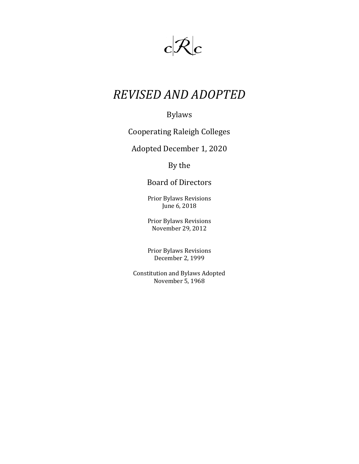

# *REVISED AND ADOPTED*

# Bylaws

# Cooperating Raleigh Colleges

### Adopted December 1, 2020

# By the

# Board of Directors

Prior Bylaws Revisions June 6, 2018

Prior Bylaws Revisions November 29, 2012

Prior Bylaws Revisions December 2, 1999

Constitution and Bylaws Adopted November 5, 1968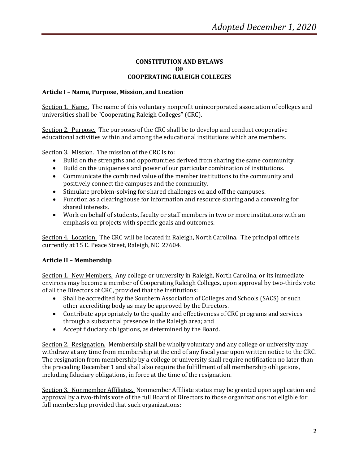#### **CONSTITUTION AND BYLAWS OF COOPERATING RALEIGH COLLEGES**

#### **Article I – Name, Purpose, Mission, and Location**

Section 1. Name. The name of this voluntary nonprofit unincorporated association of colleges and universities shall be "Cooperating Raleigh Colleges" (CRC).

Section 2. Purpose. The purposes of the CRC shall be to develop and conduct cooperative educational activities within and among the educational institutions which are members.

Section 3. Mission. The mission of the CRC is to:

- Build on the strengths and opportunities derived from sharing the same community.
- Build on the uniqueness and power of our particular combination of institutions.
- Communicate the combined value of the member institutions to the community and positively connect the campuses and the community.
- Stimulate problem-solving for shared challenges on and off the campuses.
- Function as a clearinghouse for information and resource sharing and a convening for shared interests.
- Work on behalf of students, faculty or staff members in two or more institutions with an emphasis on projects with specific goals and outcomes.

Section 4. Location. The CRC will be located in Raleigh, North Carolina. The principal office is currently at 15 E. Peace Street, Raleigh, NC 27604.

#### **Article II – Membership**

Section 1. New Members. Any college or university in Raleigh, North Carolina, or its immediate environs may become a member of Cooperating Raleigh Colleges, upon approval by two-thirds vote of all the Directors of CRC, provided that the institutions:

- Shall be accredited by the Southern Association of Colleges and Schools (SACS) or such other accrediting body as may be approved by the Directors.
- Contribute appropriately to the quality and effectiveness of CRC programs and services through a substantial presence in the Raleigh area; and
- Accept fiduciary obligations, as determined by the Board.

Section 2. Resignation. Membership shall be wholly voluntary and any college or university may withdraw at any time from membership at the end of any fiscal year upon written notice to the CRC. The resignation from membership by a college or university shall require notification no later than the preceding December 1 and shall also require the fulfillment of all membership obligations, including fiduciary obligations, in force at the time of the resignation.

Section 3. Nonmember Affiliates. Nonmember Affiliate status may be granted upon application and approval by a two-thirds vote of the full Board of Directors to those organizations not eligible for full membership provided that such organizations: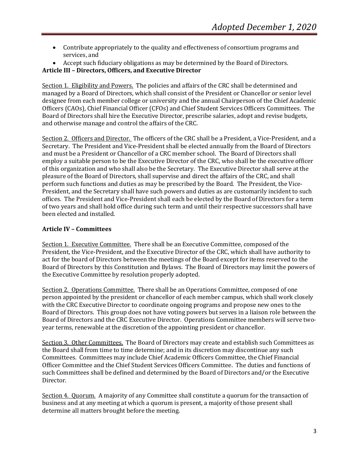- Contribute appropriately to the quality and effectiveness of consortium programs and services, and
- Accept such fiduciary obligations as may be determined by the Board of Directors.

#### **Article III – Directors, Officers, and Executive Director**

Section 1. Eligibility and Powers. The policies and affairs of the CRC shall be determined and managed by a Board of Directors, which shall consist of the President or Chancellor or senior level designee from each member college or university and the annual Chairperson of the Chief Academic Officers (CAOs), Chief Financial Officer (CFOs) and Chief Student Services Officers Committees. The Board of Directors shall hire the Executive Director, prescribe salaries, adopt and revise budgets, and otherwise manage and control the affairs of the CRC.

Section 2. Officers and Director. The officers of the CRC shall be a President, a Vice-President, and a Secretary. The President and Vice-President shall be elected annually from the Board of Directors and must be a President or Chancellor of a CRC member school. The Board of Directors shall employ a suitable person to be the Executive Director of the CRC, who shall be the executive officer of this organization and who shall also be the Secretary. The Executive Director shall serve at the pleasure of the Board of Directors, shall supervise and direct the affairs of the CRC, and shall perform such functions and duties as may be prescribed by the Board. The President, the Vice-President, and the Secretary shall have such powers and duties as are customarily incident to such offices. The President and Vice-President shall each be elected by the Board of Directors for a term of two years and shall hold office during such term and until their respective successors shall have been elected and installed.

#### **Article IV – Committees**

Section 1. Executive Committee. There shall be an Executive Committee, composed of the President, the Vice-President, and the Executive Director of the CRC, which shall have authority to act for the board of Directors between the meetings of the Board except for items reserved to the Board of Directors by this Constitution and Bylaws. The Board of Directors may limit the powers of the Executive Committee by resolution properly adopted.

Section 2. Operations Committee. There shall be an Operations Committee, composed of one person appointed by the president or chancellor of each member campus, which shall work closely with the CRC Executive Director to coordinate ongoing programs and propose new ones to the Board of Directors. This group does not have voting powers but serves in a liaison role between the Board of Directors and the CRC Executive Director. Operations Committee members will serve twoyear terms, renewable at the discretion of the appointing president or chancellor.

Section 3. Other Committees. The Board of Directors may create and establish such Committees as the Board shall from time to time determine; and in its discretion may discontinue any such Committees. Committees may include Chief Academic Officers Committee, the Chief Financial Officer Committee and the Chief Student Services Officers Committee. The duties and functions of such Committees shall be defined and determined by the Board of Directors and/or the Executive Director.

Section 4. Quorum. A majority of any Committee shall constitute a quorum for the transaction of business and at any meeting at which a quorum is present, a majority of those present shall determine all matters brought before the meeting.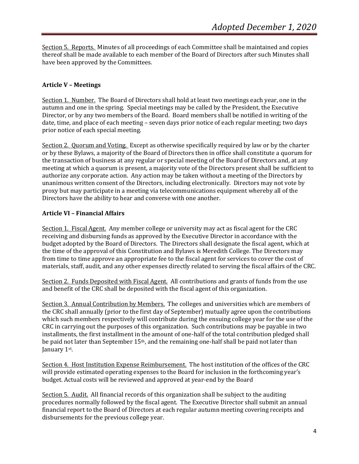Section 5. Reports. Minutes of all proceedings of each Committee shall be maintained and copies thereof shall be made available to each member of the Board of Directors after such Minutes shall have been approved by the Committees.

#### **Article V – Meetings**

Section 1. Number. The Board of Directors shall hold at least two meetings each year, one in the autumn and one in the spring. Special meetings may be called by the President, the Executive Director, or by any two members of the Board. Board members shall be notified in writing of the date, time, and place of each meeting – seven days prior notice of each regular meeting; two days prior notice of each special meeting.

Section 2. Quorum and Voting. Except as otherwise specifically required by law or by the charter or by these Bylaws, a majority of the Board of Directors then in office shall constitute a quorum for the transaction of business at any regular or special meeting of the Board of Directors and, at any meeting at which a quorum is present, a majority vote of the Directors present shall be sufficient to authorize any corporate action. Any action may be taken without a meeting of the Directors by unanimous written consent of the Directors, including electronically. Directors may not vote by proxy but may participate in a meeting via telecommunications equipment whereby all of the Directors have the ability to hear and converse with one another.

#### **Article VI – Financial Affairs**

Section 1. Fiscal Agent. Any member college or university may act as fiscal agent for the CRC receiving and disbursing funds as approved by the Executive Director in accordance with the budget adopted by the Board of Directors. The Directors shall designate the fiscal agent, which at the time of the approval of this Constitution and Bylaws is Meredith College. The Directors may from time to time approve an appropriate fee to the fiscal agent for services to cover the cost of materials, staff, audit, and any other expenses directly related to serving the fiscal affairs of the CRC.

Section 2. Funds Deposited with Fiscal Agent. All contributions and grants of funds from the use and benefit of the CRC shall be deposited with the fiscal agent of this organization.

Section 3. Annual Contribution by Members. The colleges and universities which are members of the CRC shall annually (prior to the first day of September) mutually agree upon the contributions which such members respectively will contribute during the ensuing college year for the use of the CRC in carrying out the purposes of this organization. Such contributions may be payable in two installments, the first installment in the amount of one-half of the total contribution pledged shall be paid not later than September  $15<sup>th</sup>$ , and the remaining one-half shall be paid not later than January 1st.

Section 4. Host Institution Expense Reimbursement. The host institution of the offices of the CRC will provide estimated operating expenses to the Board for inclusion in the forthcoming year's budget. Actual costs will be reviewed and approved at year-end by the Board

Section 5. Audit. All financial records of this organization shall be subject to the auditing procedures normally followed by the fiscal agent. The Executive Director shall submit an annual financial report to the Board of Directors at each regular autumn meeting covering receipts and disbursements for the previous college year.